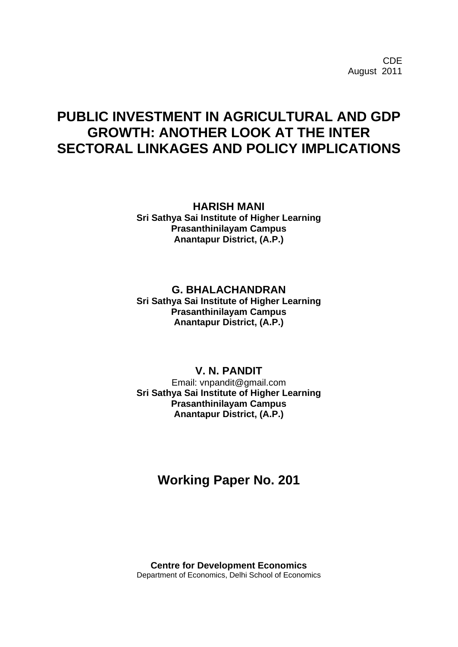CDE August 2011

# **PUBLIC INVESTMENT IN AGRICULTURAL AND GDP GROWTH: ANOTHER LOOK AT THE INTER SECTORAL LINKAGES AND POLICY IMPLICATIONS**

**HARISH MANI Sri Sathya Sai Institute of Higher Learning Prasanthinilayam Campus Anantapur District, (A.P.)**

## **G. BHALACHANDRAN Sri Sathya Sai Institute of Higher Learning Prasanthinilayam Campus Anantapur District, (A.P.)**

## **V. N. PANDIT**

Email: vnpandit@gmail.com **Sri Sathya Sai Institute of Higher Learning Prasanthinilayam Campus Anantapur District, (A.P.)**

# **Working Paper No. 201**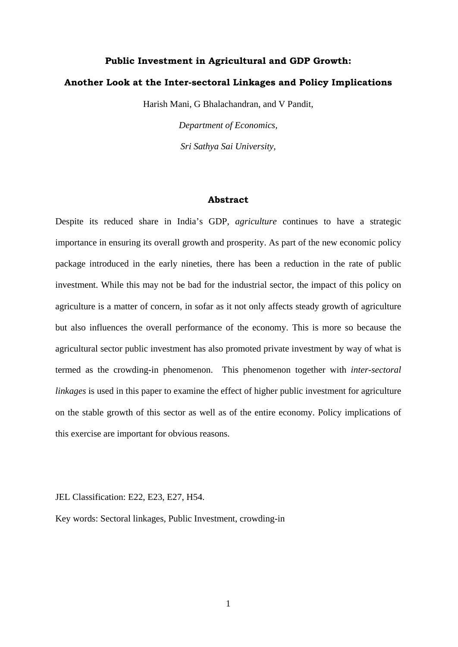## **Public Investment in Agricultural and GDP Growth:**

## **Another Look at the Inter-sectoral Linkages and Policy Implications**

Harish Mani, G Bhalachandran, and V Pandit,

*Department of Economics, Sri Sathya Sai University,*

#### **Abstract**

Despite its reduced share in India's GDP, *agriculture* continues to have a strategic importance in ensuring its overall growth and prosperity. As part of the new economic policy package introduced in the early nineties, there has been a reduction in the rate of public investment. While this may not be bad for the industrial sector, the impact of this policy on agriculture is a matter of concern, in sofar as it not only affects steady growth of agriculture but also influences the overall performance of the economy. This is more so because the agricultural sector public investment has also promoted private investment by way of what is termed as the crowding-in phenomenon. This phenomenon together with *inter-sectoral linkages* is used in this paper to examine the effect of higher public investment for agriculture on the stable growth of this sector as well as of the entire economy. Policy implications of this exercise are important for obvious reasons.

JEL Classification: E22, E23, E27, H54.

Key words: Sectoral linkages, Public Investment, crowding-in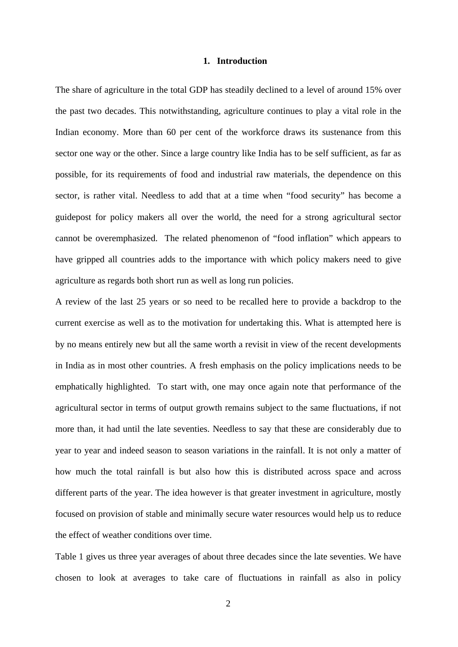#### **1. Introduction**

The share of agriculture in the total GDP has steadily declined to a level of around 15% over the past two decades. This notwithstanding, agriculture continues to play a vital role in the Indian economy. More than 60 per cent of the workforce draws its sustenance from this sector one way or the other. Since a large country like India has to be self sufficient, as far as possible, for its requirements of food and industrial raw materials, the dependence on this sector, is rather vital. Needless to add that at a time when "food security" has become a guidepost for policy makers all over the world, the need for a strong agricultural sector cannot be overemphasized. The related phenomenon of "food inflation" which appears to have gripped all countries adds to the importance with which policy makers need to give agriculture as regards both short run as well as long run policies.

A review of the last 25 years or so need to be recalled here to provide a backdrop to the current exercise as well as to the motivation for undertaking this. What is attempted here is by no means entirely new but all the same worth a revisit in view of the recent developments in India as in most other countries. A fresh emphasis on the policy implications needs to be emphatically highlighted. To start with, one may once again note that performance of the agricultural sector in terms of output growth remains subject to the same fluctuations, if not more than, it had until the late seventies. Needless to say that these are considerably due to year to year and indeed season to season variations in the rainfall. It is not only a matter of how much the total rainfall is but also how this is distributed across space and across different parts of the year. The idea however is that greater investment in agriculture, mostly focused on provision of stable and minimally secure water resources would help us to reduce the effect of weather conditions over time.

Table 1 gives us three year averages of about three decades since the late seventies. We have chosen to look at averages to take care of fluctuations in rainfall as also in policy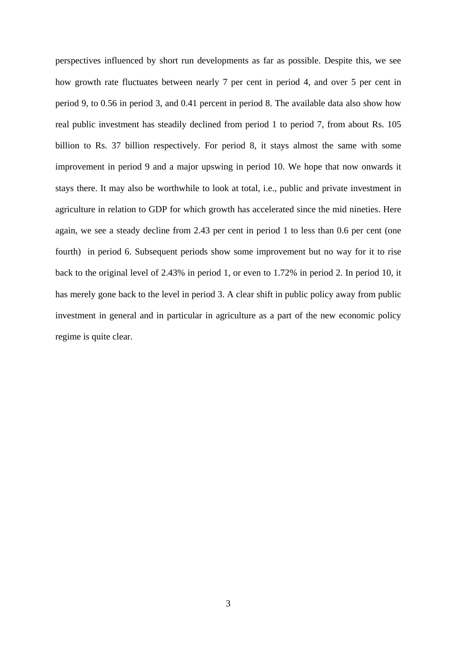perspectives influenced by short run developments as far as possible. Despite this, we see how growth rate fluctuates between nearly 7 per cent in period 4, and over 5 per cent in period 9, to 0.56 in period 3, and 0.41 percent in period 8. The available data also show how real public investment has steadily declined from period 1 to period 7, from about Rs. 105 billion to Rs. 37 billion respectively. For period 8, it stays almost the same with some improvement in period 9 and a major upswing in period 10. We hope that now onwards it stays there. It may also be worthwhile to look at total, i.e., public and private investment in agriculture in relation to GDP for which growth has accelerated since the mid nineties. Here again, we see a steady decline from 2.43 per cent in period 1 to less than 0.6 per cent (one fourth) in period 6. Subsequent periods show some improvement but no way for it to rise back to the original level of 2.43% in period 1, or even to 1.72% in period 2. In period 10, it has merely gone back to the level in period 3. A clear shift in public policy away from public investment in general and in particular in agriculture as a part of the new economic policy regime is quite clear.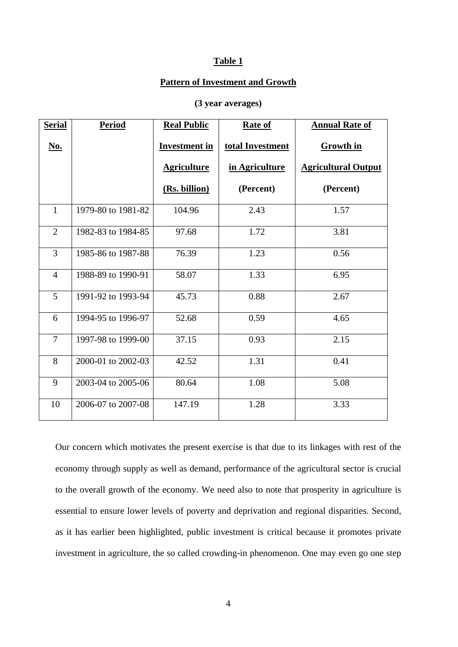### **Table 1**

#### **Pattern of Investment and Growth**

## **(3 year averages)**

| <b>Serial</b>  | <b>Period</b>      | <b>Real Public</b>   | <b>Rate of</b>   | <b>Annual Rate of</b>      |
|----------------|--------------------|----------------------|------------------|----------------------------|
| No.            |                    | <b>Investment in</b> | total Investment | <b>Growth in</b>           |
|                |                    | <b>Agriculture</b>   | in Agriculture   | <b>Agricultural Output</b> |
|                |                    | (Rs. billion)        | (Percent)        | (Percent)                  |
| $\mathbf{1}$   | 1979-80 to 1981-82 | 104.96               | 2.43             | 1.57                       |
| $\overline{2}$ | 1982-83 to 1984-85 | 97.68                | 1.72             | 3.81                       |
| 3              | 1985-86 to 1987-88 | 76.39                | 1.23             | 0.56                       |
| $\overline{4}$ | 1988-89 to 1990-91 | 58.07                | 1.33             | 6.95                       |
| 5              | 1991-92 to 1993-94 | 45.73                | 0.88             | 2.67                       |
| 6              | 1994-95 to 1996-97 | 52.68                | 0.59             | 4.65                       |
| $\overline{7}$ | 1997-98 to 1999-00 | 37.15                | 0.93             | 2.15                       |
| 8              | 2000-01 to 2002-03 | 42.52                | 1.31             | 0.41                       |
| 9              | 2003-04 to 2005-06 | 80.64                | 1.08             | 5.08                       |
| 10             | 2006-07 to 2007-08 | 147.19               | 1.28             | 3.33                       |

Our concern which motivates the present exercise is that due to its linkages with rest of the economy through supply as well as demand, performance of the agricultural sector is crucial to the overall growth of the economy. We need also to note that prosperity in agriculture is essential to ensure lower levels of poverty and deprivation and regional disparities. Second, as it has earlier been highlighted, public investment is critical because it promotes private investment in agriculture, the so called crowding-in phenomenon. One may even go one step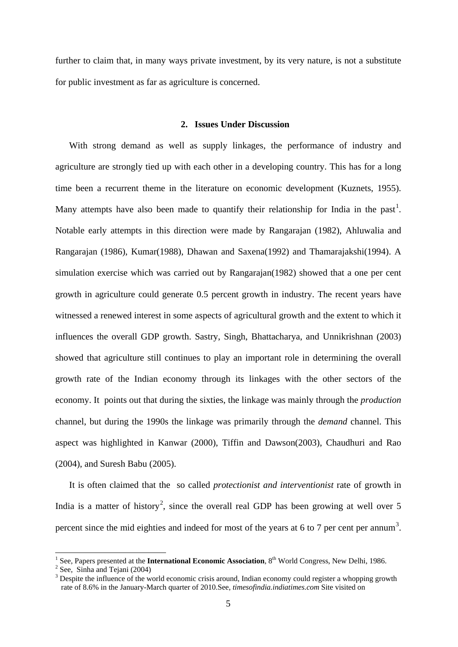further to claim that, in many ways private investment, by its very nature, is not a substitute for public investment as far as agriculture is concerned.

## **2. Issues Under Discussion**

With strong demand as well as supply linkages, the performance of industry and agriculture are strongly tied up with each other in a developing country. This has for a long time been a recurrent theme in the literature on economic development (Kuznets, 1955). Many attempts have also been made to quantify their relationship for India in the past<sup>[1](#page-5-0)</sup>. Notable early attempts in this direction were made by Rangarajan (1982), Ahluwalia and Rangarajan (1986), Kumar(1988), Dhawan and Saxena(1992) and Thamarajakshi(1994). A simulation exercise which was carried out by Rangarajan(1982) showed that a one per cent growth in agriculture could generate 0.5 percent growth in industry. The recent years have witnessed a renewed interest in some aspects of agricultural growth and the extent to which it influences the overall GDP growth. Sastry, Singh, Bhattacharya, and Unnikrishnan (2003) showed that agriculture still continues to play an important role in determining the overall growth rate of the Indian economy through its linkages with the other sectors of the economy. It points out that during the sixties, the linkage was mainly through the *production* channel, but during the 1990s the linkage was primarily through the *demand* channel. This aspect was highlighted in Kanwar (2000), Tiffin and Dawson(2003), Chaudhuri and Rao (2004), and Suresh Babu (2005).

It is often claimed that the so called *protectionist and interventionist* rate of growth in India is a matter of history<sup>[2](#page-5-1)</sup>, since the overall real GDP has been growing at well over 5 percent since the mid eighties and indeed for most of the years at 6 to 7 per cent per annum<sup>[3](#page-5-2)</sup>.

<span id="page-5-0"></span><sup>&</sup>lt;sup>1</sup> See, Papers presented at the **International Economic Association**,  $8<sup>th</sup>$  World Congress, New Delhi, 1986. <sup>2</sup> See, Sinha and Tejani (2004)

<span id="page-5-2"></span><span id="page-5-1"></span><sup>&</sup>lt;sup>3</sup> Despite the influence of the world economic crisis around, Indian economy could register a whopping growth rate of 8.6% in the January-March quarter of 2010.See, *timesofindia.indiatimes.com* Site visited on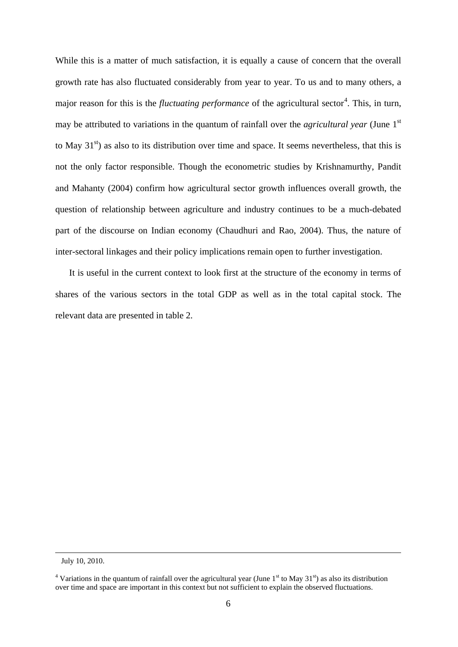While this is a matter of much satisfaction, it is equally a cause of concern that the overall growth rate has also fluctuated considerably from year to year. To us and to many others, a major reason for this is the *fluctuating performance* of the agricultural sector<sup>[4](#page-6-0)</sup>. This, in turn, may be attributed to variations in the quantum of rainfall over the *agricultural year* (June 1<sup>st</sup> to May  $31<sup>st</sup>$ ) as also to its distribution over time and space. It seems nevertheless, that this is not the only factor responsible. Though the econometric studies by Krishnamurthy, Pandit and Mahanty (2004) confirm how agricultural sector growth influences overall growth, the question of relationship between agriculture and industry continues to be a much-debated part of the discourse on Indian economy (Chaudhuri and Rao, 2004). Thus, the nature of inter-sectoral linkages and their policy implications remain open to further investigation.

It is useful in the current context to look first at the structure of the economy in terms of shares of the various sectors in the total GDP as well as in the total capital stock. The relevant data are presented in table 2.

-

July 10, 2010.

<span id="page-6-0"></span><sup>&</sup>lt;sup>4</sup> Variations in the quantum of rainfall over the agricultural year (June  $1<sup>st</sup>$  to May 31 $<sup>st</sup>$ ) as also its distribution</sup> over time and space are important in this context but not sufficient to explain the observed fluctuations.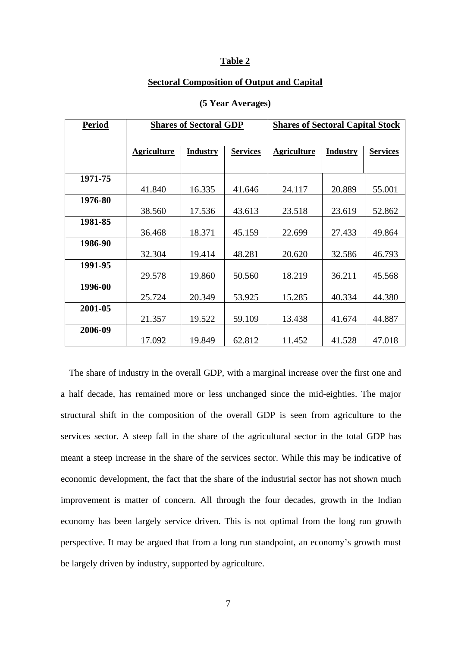#### **Table 2**

## **Sectoral Composition of Output and Capital**

| <b>Period</b> | <b>Shares of Sectoral GDP</b> |                 |                 | <b>Shares of Sectoral Capital Stock</b> |                 |                 |
|---------------|-------------------------------|-----------------|-----------------|-----------------------------------------|-----------------|-----------------|
|               |                               |                 |                 |                                         |                 |                 |
|               | <b>Agriculture</b>            | <b>Industry</b> | <b>Services</b> | <b>Agriculture</b>                      | <b>Industry</b> | <b>Services</b> |
|               |                               |                 |                 |                                         |                 |                 |
| 1971-75       |                               |                 |                 |                                         |                 |                 |
|               | 41.840                        | 16.335          | 41.646          | 24.117                                  | 20.889          | 55.001          |
| 1976-80       |                               |                 |                 |                                         |                 |                 |
|               | 38.560                        | 17.536          | 43.613          | 23.518                                  | 23.619          | 52.862          |
| 1981-85       |                               |                 |                 |                                         |                 |                 |
|               | 36.468                        | 18.371          | 45.159          | 22.699                                  | 27.433          | 49.864          |
| 1986-90       |                               |                 |                 |                                         |                 |                 |
|               | 32.304                        | 19.414          | 48.281          | 20.620                                  | 32.586          | 46.793          |
| 1991-95       |                               |                 |                 |                                         |                 |                 |
|               | 29.578                        | 19.860          | 50.560          | 18.219                                  | 36.211          | 45.568          |
| 1996-00       |                               |                 |                 |                                         |                 |                 |
|               | 25.724                        | 20.349          | 53.925          | 15.285                                  | 40.334          | 44.380          |
| 2001-05       |                               |                 |                 |                                         |                 |                 |
|               | 21.357                        | 19.522          | 59.109          | 13.438                                  | 41.674          | 44.887          |
| 2006-09       |                               |                 |                 |                                         |                 |                 |
|               | 17.092                        | 19.849          | 62.812          | 11.452                                  | 41.528          | 47.018          |

#### **(5 Year Averages)**

The share of industry in the overall GDP, with a marginal increase over the first one and a half decade, has remained more or less unchanged since the mid-eighties. The major structural shift in the composition of the overall GDP is seen from agriculture to the services sector. A steep fall in the share of the agricultural sector in the total GDP has meant a steep increase in the share of the services sector. While this may be indicative of economic development, the fact that the share of the industrial sector has not shown much improvement is matter of concern. All through the four decades, growth in the Indian economy has been largely service driven. This is not optimal from the long run growth perspective. It may be argued that from a long run standpoint, an economy's growth must be largely driven by industry, supported by agriculture.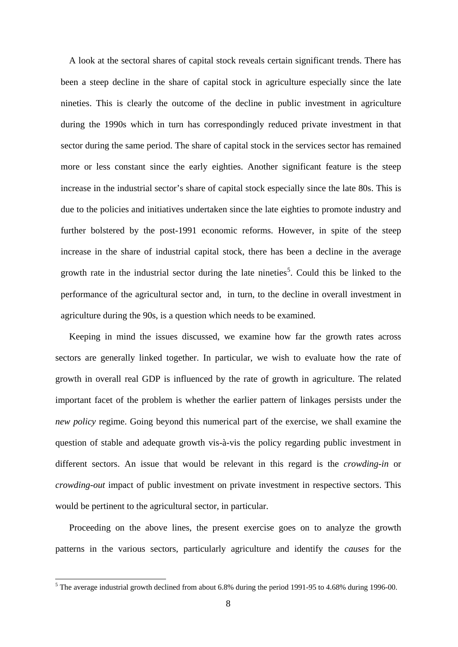A look at the sectoral shares of capital stock reveals certain significant trends. There has been a steep decline in the share of capital stock in agriculture especially since the late nineties. This is clearly the outcome of the decline in public investment in agriculture during the 1990s which in turn has correspondingly reduced private investment in that sector during the same period. The share of capital stock in the services sector has remained more or less constant since the early eighties. Another significant feature is the steep increase in the industrial sector's share of capital stock especially since the late 80s. This is due to the policies and initiatives undertaken since the late eighties to promote industry and further bolstered by the post-1991 economic reforms. However, in spite of the steep increase in the share of industrial capital stock, there has been a decline in the average growth rate in the industrial sector during the late nineties<sup>[5](#page-8-0)</sup>. Could this be linked to the performance of the agricultural sector and, in turn, to the decline in overall investment in agriculture during the 90s, is a question which needs to be examined.

Keeping in mind the issues discussed, we examine how far the growth rates across sectors are generally linked together. In particular, we wish to evaluate how the rate of growth in overall real GDP is influenced by the rate of growth in agriculture. The related important facet of the problem is whether the earlier pattern of linkages persists under the *new policy* regime. Going beyond this numerical part of the exercise, we shall examine the question of stable and adequate growth vis-à-vis the policy regarding public investment in different sectors. An issue that would be relevant in this regard is the *crowding-in* or *crowding-out* impact of public investment on private investment in respective sectors. This would be pertinent to the agricultural sector, in particular.

Proceeding on the above lines, the present exercise goes on to analyze the growth patterns in the various sectors, particularly agriculture and identify the *causes* for the

<span id="page-8-0"></span> <sup>5</sup> The average industrial growth declined from about 6.8% during the period 1991-95 to 4.68% during 1996-00.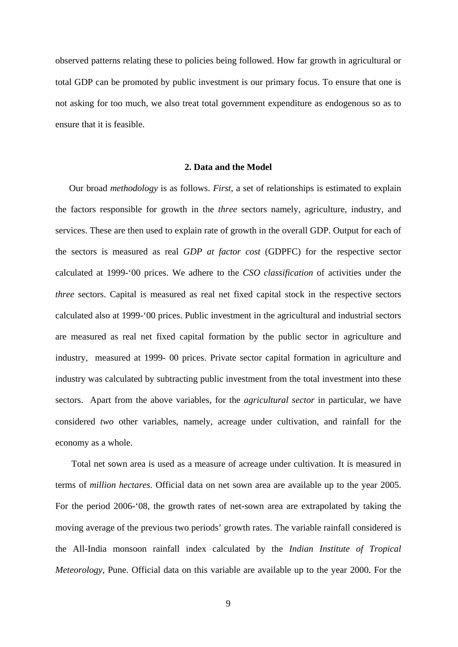observed patterns relating these to policies being followed. How far growth in agricultural or total GDP can be promoted by public investment is our primary focus. To ensure that one is not asking for too much, we also treat total government expenditure as endogenous so as to ensure that it is feasible.

### **2. Data and the Model**

Our broad *methodology* is as follows. *First*, a set of relationships is estimated to explain the factors responsible for growth in the *three* sectors namely, agriculture, industry, and services. These are then used to explain rate of growth in the overall GDP. Output for each of the sectors is measured as real *GDP at factor cost* (GDPFC) for the respective sector calculated at 1999-'00 prices. We adhere to the *CSO classification* of activities under the *three* sectors. Capital is measured as real net fixed capital stock in the respective sectors calculated also at 1999-'00 prices. Public investment in the agricultural and industrial sectors are measured as real net fixed capital formation by the public sector in agriculture and industry, measured at 1999- 00 prices. Private sector capital formation in agriculture and industry was calculated by subtracting public investment from the total investment into these sectors. Apart from the above variables, for the *agricultural sector* in particular, we have considered *two* other variables, namely, acreage under cultivation, and rainfall for the economy as a whole.

Total net sown area is used as a measure of acreage under cultivation. It is measured in terms of *million hectares*. Official data on net sown area are available up to the year 2005. For the period 2006-'08, the growth rates of net-sown area are extrapolated by taking the moving average of the previous two periods' growth rates. The variable rainfall considered is the All-India monsoon rainfall index calculated by the *Indian Institute of Tropical Meteorology*, Pune. Official data on this variable are available up to the year 2000. For the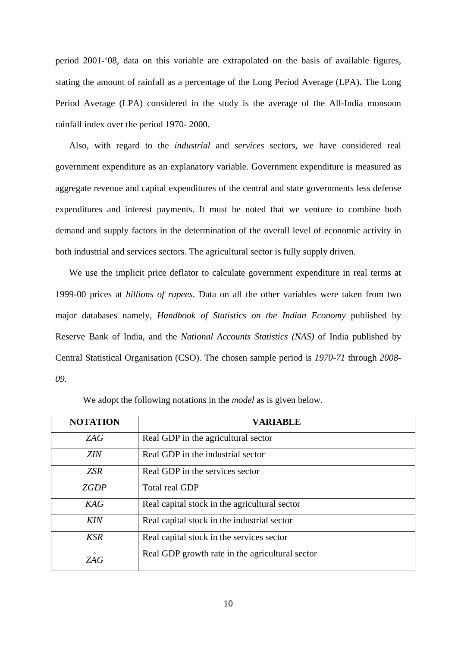period 2001-'08, data on this variable are extrapolated on the basis of available figures, stating the amount of rainfall as a percentage of the Long Period Average (LPA). The Long Period Average (LPA) considered in the study is the average of the All-India monsoon rainfall index over the period 1970- 2000.

Also, with regard to the *industrial* and *services* sectors, we have considered real government expenditure as an explanatory variable. Government expenditure is measured as aggregate revenue and capital expenditures of the central and state governments less defense expenditures and interest payments. It must be noted that we venture to combine both demand and supply factors in the determination of the overall level of economic activity in both industrial and services sectors. The agricultural sector is fully supply driven.

We use the implicit price deflator to calculate government expenditure in real terms at 1999-00 prices at *billions of rupees*. Data on all the other variables were taken from two major databases namely, *Handbook of Statistics on the Indian Economy* published by Reserve Bank of India, and the *National Accounts Statistics (NAS)* of India published by Central Statistical Organisation (CSO). The chosen sample period is *1970-71* through *2008- 09*.

| <b>NOTATION</b> | <b>VARIABLE</b>                                 |
|-----------------|-------------------------------------------------|
| ZAG             | Real GDP in the agricultural sector             |
| <b>ZIN</b>      | Real GDP in the industrial sector               |
| <b>ZSR</b>      | Real GDP in the services sector                 |
| <b>ZGDP</b>     | <b>Total real GDP</b>                           |
| KAG             | Real capital stock in the agricultural sector   |
| <b>KIN</b>      | Real capital stock in the industrial sector     |
| <b>KSR</b>      | Real capital stock in the services sector       |
| $\wedge$<br>ZAG | Real GDP growth rate in the agricultural sector |

We adopt the following notations in the *model* as is given below.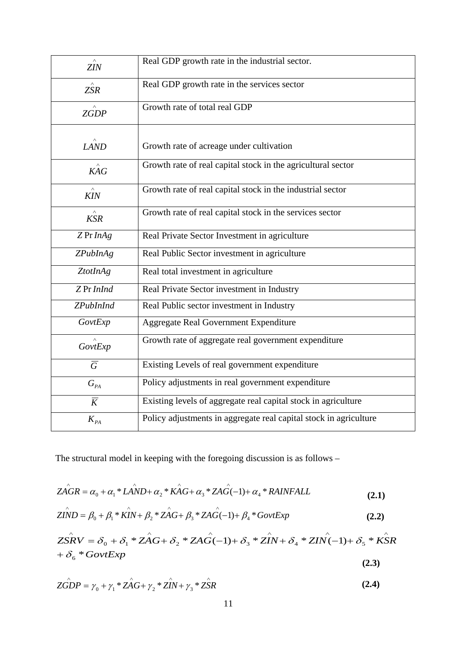| ZIN                          | Real GDP growth rate in the industrial sector.                    |
|------------------------------|-------------------------------------------------------------------|
| $\land$<br><b>ZSR</b>        | Real GDP growth rate in the services sector                       |
| $\overrightarrow{ZGDP}$      | Growth rate of total real GDP                                     |
| LAND                         | Growth rate of acreage under cultivation                          |
| KAG                          | Growth rate of real capital stock in the agricultural sector      |
| <b>KIN</b>                   | Growth rate of real capital stock in the industrial sector        |
| $\hat{KSR}$                  | Growth rate of real capital stock in the services sector          |
| ZPrInAg                      | Real Private Sector Investment in agriculture                     |
| <b>ZPubInAg</b>              | Real Public Sector investment in agriculture                      |
| ZtotInAg                     | Real total investment in agriculture                              |
| Z Pr InInd                   | Real Private Sector investment in Industry                        |
| <b>ZPubInInd</b>             | Real Public sector investment in Industry                         |
| GovtExp                      | <b>Aggregate Real Government Expenditure</b>                      |
| GovtExp                      | Growth rate of aggregate real government expenditure              |
| $\overline{G}$               | Existing Levels of real government expenditure                    |
| $G_{\scriptscriptstyle{PA}}$ | Policy adjustments in real government expenditure                 |
| $\overline{K}$               | Existing levels of aggregate real capital stock in agriculture    |
| $K_{\rho_A}$                 | Policy adjustments in aggregate real capital stock in agriculture |

The structural model in keeping with the foregoing discussion is as follows –

$$
Z\stackrel{\wedge}{AGR} = \alpha_0 + \alpha_1 * L\stackrel{\wedge}{AND} + \alpha_2 * K\stackrel{\wedge}{AG} + \alpha_3 * Z\stackrel{\wedge}{AG}(-1) + \alpha_4 * RAINFALL
$$
\n(2.1)

$$
\angle ZIND = \beta_0 + \beta_1 * \stackrel{\wedge}{KIN} + \beta_2 * \stackrel{\wedge}{ZAG} + \beta_3 * \stackrel{\wedge}{ZAG}(-1) + \beta_4 * \stackrel{\wedge}{GovtExp}
$$
(2.2)

$$
Z\hat{SRV} = \delta_0 + \delta_1 * Z\hat{AG} + \delta_2 * ZA\hat{G}(-1) + \delta_3 * Z\hat{IN} + \delta_4 * ZIN\hat{(-1)} + \delta_5 * K\hat{SR}
$$
  
+  $\delta_6 * GovtExp$  (2.3)

$$
\angle ZGDP = \gamma_0 + \gamma_1 * \angle AG + \gamma_2 * \angle IN + \gamma_3 * \angle SR
$$
 (2.4)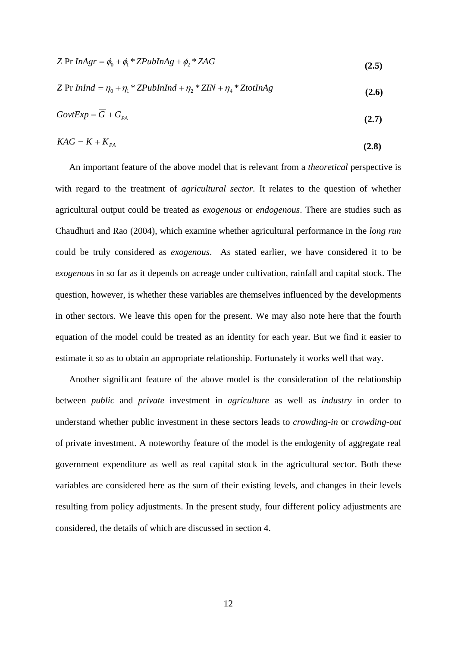| Z Pr $InAgr = \phi_0 + \phi_1 * ZPubInAg + \phi_2 * ZAG$ | (2.5) |
|----------------------------------------------------------|-------|
|                                                          |       |

$$
Z \Pr InInd = \eta_0 + \eta_1 * ZPubInInd + \eta_2 * ZIN + \eta_4 * Zto tInAg \tag{2.6}
$$

$$
GovtExp = \overline{G} + G_{PA}
$$
 (2.7)

$$
KAG = \overline{K} + K_{PA} \tag{2.8}
$$

An important feature of the above model that is relevant from a *theoretical* perspective is with regard to the treatment of *agricultural sector*. It relates to the question of whether agricultural output could be treated as *exogenous* or *endogenous*. There are studies such as Chaudhuri and Rao (2004), which examine whether agricultural performance in the *long run* could be truly considered as *exogenous*. As stated earlier, we have considered it to be *exogenous* in so far as it depends on acreage under cultivation, rainfall and capital stock. The question, however, is whether these variables are themselves influenced by the developments in other sectors. We leave this open for the present. We may also note here that the fourth equation of the model could be treated as an identity for each year. But we find it easier to estimate it so as to obtain an appropriate relationship. Fortunately it works well that way.

Another significant feature of the above model is the consideration of the relationship between *public* and *private* investment in *agriculture* as well as *industry* in order to understand whether public investment in these sectors leads to *crowding-in* or *crowding-out* of private investment. A noteworthy feature of the model is the endogenity of aggregate real government expenditure as well as real capital stock in the agricultural sector. Both these variables are considered here as the sum of their existing levels, and changes in their levels resulting from policy adjustments. In the present study, four different policy adjustments are considered, the details of which are discussed in section 4.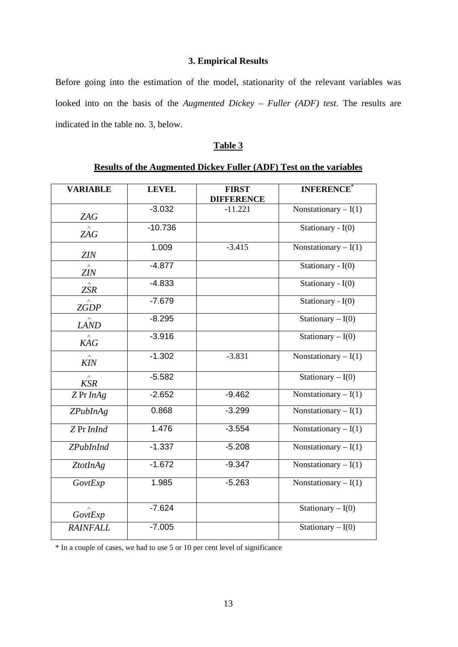## **3. Empirical Results**

Before going into the estimation of the model, stationarity of the relevant variables was looked into on the basis of the *Augmented Dickey – Fuller (ADF) test*. The results are indicated in the table no. 3, below.

## **Table 3**

| <b>VARIABLE</b>          | <b>LEVEL</b> | <b>FIRST</b>      | <b>INFERENCE</b>              |
|--------------------------|--------------|-------------------|-------------------------------|
|                          |              | <b>DIFFERENCE</b> |                               |
| <b>ZAG</b>               | $-3.032$     | $-11.221$         | Nonstationary $-I(1)$         |
| <b>ZAG</b>               | $-10.736$    |                   | Stationary - $I(0)$           |
| ZIN                      | 1.009        | $-3.415$          | Nonstationary $-I(1)$         |
| $\wedge$<br><b>ZIN</b>   | $-4.877$     |                   | Stationary - $I(0)$           |
| $\land$<br><b>ZSR</b>    | $-4.833$     |                   | Stationary - I(0)             |
| <b>ZGDP</b>              | $-7.679$     |                   | Stationary - $I(0)$           |
| $\wedge$<br><b>LAND</b>  | $-8.295$     |                   | Stationary $-I(0)$            |
| $K\overset{\wedge }{AG}$ | $-3.916$     |                   | Stationary $-I(0)$            |
| $\land$<br><b>KIN</b>    | $-1.302$     | $-3.831$          | Nonstationary $-I(1)$         |
| $\wedge$<br><b>KSR</b>   | $-5.582$     |                   | Stationary $-I(0)$            |
| ZPrInAg                  | $-2.652$     | $-9.462$          | Nonstationary $-I(1)$         |
| ZPubInAg                 | 0.868        | $-3.299$          | Nonstationary $-I(1)$         |
| Z Pr InInd               | 1.476        | $-3.554$          | Nonstationary $-I(1)$         |
| <b>ZPubInInd</b>         | $-1.337$     | $-5.208$          | Nonstationary $-I(1)$         |
| ZtotInAg                 | $-1.672$     | $-9.347$          | Nonstationary $-I(1)$         |
| GovtExp                  | 1.985        | $-5.263$          | Nonstationary $-I(1)$         |
| $\wedge$<br>GovtExp      | $-7.624$     |                   | Stationary $-I(0)$            |
| <b>RAINFALL</b>          | $-7.005$     |                   | Stationary $-\overline{I}(0)$ |

## **Results of the Augmented Dickey Fuller (ADF) Test on the variables**

\* In a couple of cases, we had to use 5 or 10 per cent level of significance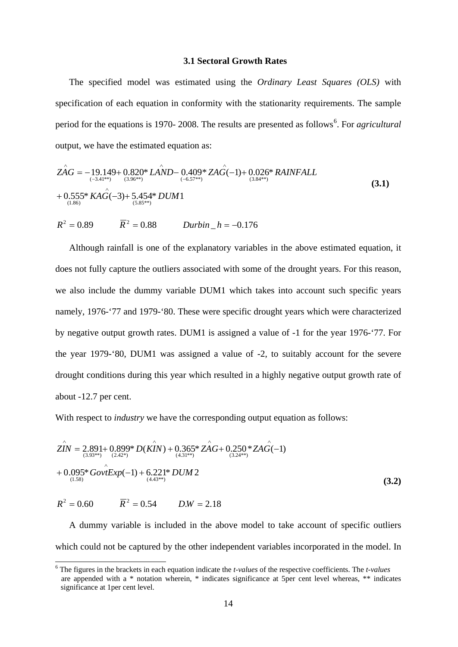#### **3.1 Sectoral Growth Rates**

The specified model was estimated using the *Ordinary Least Squares (OLS)* with specification of each equation in conformity with the stationarity requirements. The sample period for the equations is 1970- 2008. The results are presented as follows<sup>[6](#page-14-0)</sup>. For *agricultural* output, we have the estimated equation as:

$$
\hat{ZAG} = -19.149 + 0.820^* LAND - 0.409^* ZAG(-1) + 0.026^* RAINFALL + 0.555^* KAG(-3) + 5.454^* DUM1
$$
\n(3.84\*)  
(3.1)

$$
R^2 = 0.89
$$
  $\overline{R}^2 = 0.88$  *Durbin*<sub>–</sub>*h* = -0.176

Although rainfall is one of the explanatory variables in the above estimated equation, it does not fully capture the outliers associated with some of the drought years. For this reason, we also include the dummy variable DUM1 which takes into account such specific years namely, 1976-'77 and 1979-'80. These were specific drought years which were characterized by negative output growth rates. DUM1 is assigned a value of -1 for the year 1976-'77. For the year 1979-'80, DUM1 was assigned a value of -2, to suitably account for the severe drought conditions during this year which resulted in a highly negative output growth rate of about -12.7 per cent.

With respect to *industry* we have the corresponding output equation as follows:

$$
ZIN = 2.891 + 0.899 * D(KIN) + 0.365 * ZAG + 0.250 * ZAG(-1)
$$
  
+ 0.095 \* Gov $Exp(-1)$  + 6.221 \* DUM 2  
+ 0.095 \* Gov $Exp(-1)$  + 6.221 \* DUM 2  
 $R^2 = 0.60$   $\overline{R}^2 = 0.54$   $D.W = 2.18$  (3.2)

A dummy variable is included in the above model to take account of specific outliers which could not be captured by the other independent variables incorporated in the model. In

<span id="page-14-0"></span> <sup>6</sup> The figures in the brackets in each equation indicate the *t-values* of the respective coefficients. The *t-values* are appended with a \* notation wherein, \* indicates significance at 5per cent level whereas, \*\* indicates significance at 1per cent level.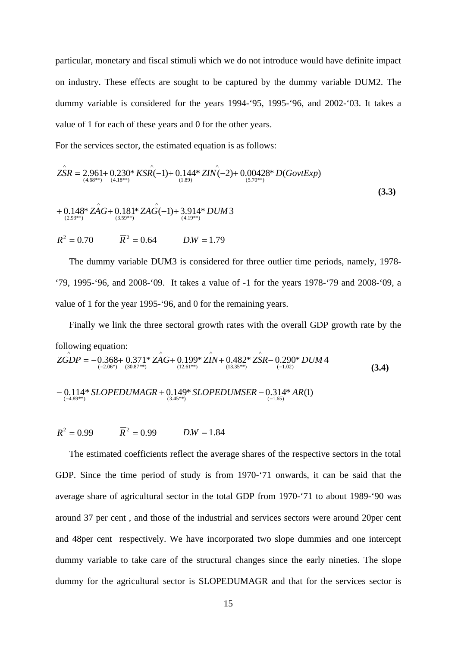particular, monetary and fiscal stimuli which we do not introduce would have definite impact on industry. These effects are sought to be captured by the dummy variable DUM2. The dummy variable is considered for the years 1994-'95, 1995-'96, and 2002-'03. It takes a value of 1 for each of these years and 0 for the other years.

For the services sector, the estimated equation is as follows:

$$
Z\hat{S}R = 2.961 + 0.230^* KSR(-1) + 0.144^* ZIN(-2) + 0.00428^* D(GovtExp)
$$
  
+ 0.148^\* ZAG + 0.181^\* ZAG(-1) + 3.914^\* DUM3  
+ 0.148^\* ZAG + 0.181^\* ZAG(-1) + 3.914^\* DUM3  

$$
R^2 = 0.70 \qquad \qquad \overline{R}^2 = 0.64 \qquad D.W = 1.79
$$
 (3.3)

The dummy variable DUM3 is considered for three outlier time periods, namely, 1978- '79, 1995-'96, and 2008-'09. It takes a value of -1 for the years 1978-'79 and 2008-'09, a value of 1 for the year 1995-'96, and 0 for the remaining years.

Finally we link the three sectoral growth rates with the overall GDP growth rate by the following equation:  $(-2.06^*)$   $(30.87^{**})$   $(12.61^{**})$   $(13.35^{**})$   $(-1.02)$   $(3.4)$ − 0.114\* SLOPEDUMAGR + 0.149\* SLOPEDUMSER − 0.314\* AR(1)<br>
← (-4.89\*\*) *ZGDP* = −0.368+ 0.371\* ZA*G*+ 0.199\* ZIN+ 0.482\* ZSR− 0.290\* DUM 4<br>  $\frac{(12.06*)}{(12.06*)}$   $\frac{(30.87**)}{(30.87**)}$ ∧ ∧ ∧ −  $\hat{E}DP = -0.368 + 0.371 * \hat{ZAG} + 0.199 * \hat{ZIN} + 0.482 * \hat{ZSR} -$ 

 $R^2 = 0.99$   $\overline{R}^2 = 0.99$   $D.W = 1.84$ 

The estimated coefficients reflect the average shares of the respective sectors in the total GDP. Since the time period of study is from 1970-'71 onwards, it can be said that the average share of agricultural sector in the total GDP from 1970-'71 to about 1989-'90 was around 37 per cent , and those of the industrial and services sectors were around 20per cent and 48per cent respectively. We have incorporated two slope dummies and one intercept dummy variable to take care of the structural changes since the early nineties. The slope dummy for the agricultural sector is SLOPEDUMAGR and that for the services sector is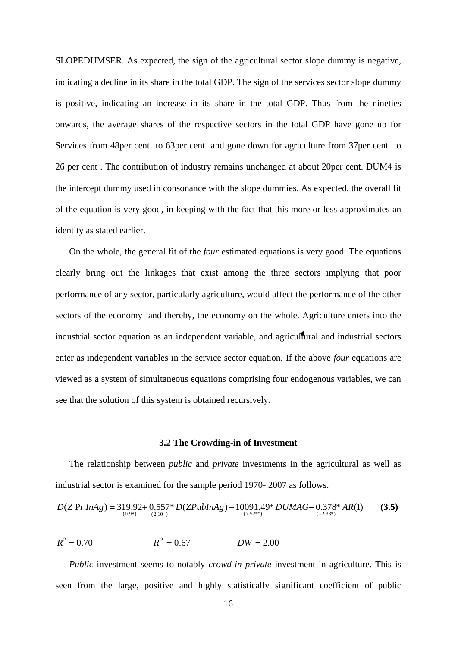SLOPEDUMSER. As expected, the sign of the agricultural sector slope dummy is negative, indicating a decline in its share in the total GDP. The sign of the services sector slope dummy is positive, indicating an increase in its share in the total GDP. Thus from the nineties onwards, the average shares of the respective sectors in the total GDP have gone up for Services from 48per cent to 63per cent and gone down for agriculture from 37per cent to 26 per cent . The contribution of industry remains unchanged at about 20per cent. DUM4 is the intercept dummy used in consonance with the slope dummies. As expected, the overall fit of the equation is very good, in keeping with the fact that this more or less approximates an identity as stated earlier.

On the whole, the general fit of the *four* estimated equations is very good. The equations clearly bring out the linkages that exist among the three sectors implying that poor performance of any sector, particularly agriculture, would affect the performance of the other sectors of the economy and thereby, the economy on the whole. Agriculture enters into the industrial sector equation as an independent variable, and agricultural and industrial sectors enter as independent variables in the service sector equation. If the above *four* equations are viewed as a system of simultaneous equations comprising four endogenous variables, we can see that the solution of this system is obtained recursively.

#### **3.2 The Crowding-in of Investment**

The relationship between *public* and *private* investments in the agricultural as well as industrial sector is examined for the sample period 1970- 2007 as follows.

$$
D(Z \Pr{InAg}) = 319.92 + 0.557 * D(ZPubInAg) + 10091.49 * DUMAG - 0.378 * AR(1)
$$
 (3.5)

$$
R^2 = 0.70
$$
  $\overline{R}^2 = 0.67$   $DW = 2.00$ 

*Public* investment seems to notably *crowd-in private* investment in agriculture. This is seen from the large, positive and highly statistically significant coefficient of public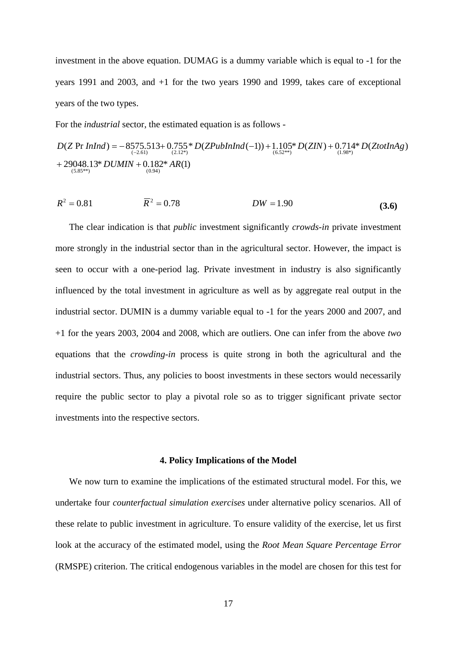investment in the above equation. DUMAG is a dummy variable which is equal to -1 for the years 1991 and 2003, and +1 for the two years 1990 and 1999, takes care of exceptional years of the two types.

For the *industrial* sector, the estimated equation is as follows -

 $+ 29048.13 * DUMIN + 0.182 * AR(1)$  $D(Z \Pr{InInd}) = -8575.513 + 0.755 * D(ZPubInInd(-1)) + 1.105 * D(ZIN) + 0.714 * D(ZtotInAg)$ <br>  $(6.52^{**})$ <br>  $(1.98^*)$  $(5.85**)$  $(-2.61)$   $(2.12^*)$   $(6.52^{**})$   $(1.98^*)$ 

$$
R^2 = 0.81 \qquad \qquad \overline{R}^2 = 0.78 \qquad \qquad DW = 1.90 \tag{3.6}
$$

The clear indication is that *public* investment significantly *crowds-in* private investment more strongly in the industrial sector than in the agricultural sector. However, the impact is seen to occur with a one-period lag. Private investment in industry is also significantly influenced by the total investment in agriculture as well as by aggregate real output in the industrial sector. DUMIN is a dummy variable equal to -1 for the years 2000 and 2007, and +1 for the years 2003, 2004 and 2008, which are outliers. One can infer from the above *two* equations that the *crowding-in* process is quite strong in both the agricultural and the industrial sectors. Thus, any policies to boost investments in these sectors would necessarily require the public sector to play a pivotal role so as to trigger significant private sector investments into the respective sectors.

#### **4. Policy Implications of the Model**

We now turn to examine the implications of the estimated structural model. For this, we undertake four *counterfactual simulation exercises* under alternative policy scenarios. All of these relate to public investment in agriculture. To ensure validity of the exercise, let us first look at the accuracy of the estimated model, using the *Root Mean Square Percentage Error* (RMSPE) criterion. The critical endogenous variables in the model are chosen for this test for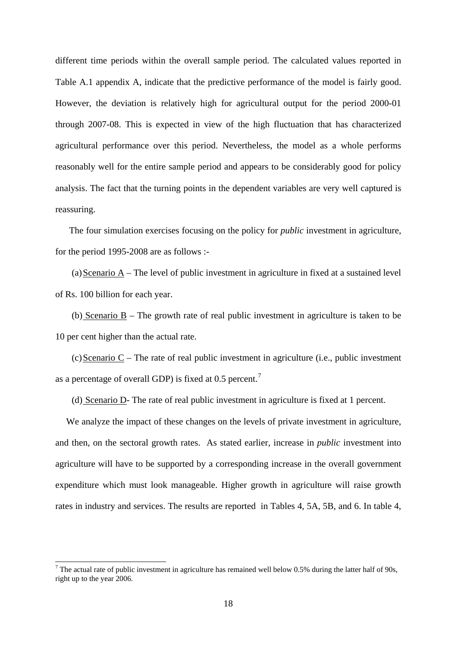different time periods within the overall sample period. The calculated values reported in Table A.1 appendix A, indicate that the predictive performance of the model is fairly good. However, the deviation is relatively high for agricultural output for the period 2000-01 through 2007-08. This is expected in view of the high fluctuation that has characterized agricultural performance over this period. Nevertheless, the model as a whole performs reasonably well for the entire sample period and appears to be considerably good for policy analysis. The fact that the turning points in the dependent variables are very well captured is reassuring.

The four simulation exercises focusing on the policy for *public* investment in agriculture, for the period 1995-2008 are as follows :-

(a)Scenario A – The level of public investment in agriculture in fixed at a sustained level of Rs. 100 billion for each year.

(b) Scenario B – The growth rate of real public investment in agriculture is taken to be 10 per cent higher than the actual rate.

 $(c)$ Scenario C – The rate of real public investment in agriculture (i.e., public investment as a percentage of overall GDP) is fixed at 0.5 percent.<sup>[7](#page-18-0)</sup>

(d) Scenario D- The rate of real public investment in agriculture is fixed at 1 percent.

We analyze the impact of these changes on the levels of private investment in agriculture, and then, on the sectoral growth rates. As stated earlier, increase in *public* investment into agriculture will have to be supported by a corresponding increase in the overall government expenditure which must look manageable. Higher growth in agriculture will raise growth rates in industry and services. The results are reported in Tables 4, 5A, 5B, and 6. In table 4,

<span id="page-18-0"></span> $7$  The actual rate of public investment in agriculture has remained well below 0.5% during the latter half of 90s, right up to the year 2006.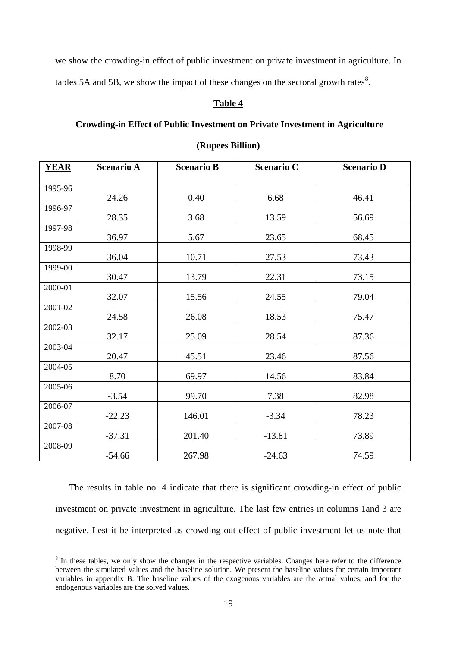we show the crowding-in effect of public investment on private investment in agriculture. In tables 5A and 5B, we show the impact of these changes on the sectoral growth rates<sup>[8](#page-19-0)</sup>.

## **Table 4**

## **Crowding-in Effect of Public Investment on Private Investment in Agriculture**

| <b>YEAR</b> | <b>Scenario A</b> | <b>Scenario B</b> | <b>Scenario C</b> | <b>Scenario D</b> |
|-------------|-------------------|-------------------|-------------------|-------------------|
| 1995-96     |                   |                   |                   |                   |
|             | 24.26             | 0.40              | 6.68              | 46.41             |
| 1996-97     | 28.35             | 3.68              | 13.59             | 56.69             |
| 1997-98     |                   |                   |                   |                   |
|             | 36.97             | 5.67              | 23.65             | 68.45             |
| 1998-99     | 36.04             | 10.71             | 27.53             | 73.43             |
| 1999-00     | 30.47             | 13.79             | 22.31             | 73.15             |
| 2000-01     | 32.07             | 15.56             | 24.55             | 79.04             |
| 2001-02     | 24.58             | 26.08             | 18.53             | 75.47             |
| 2002-03     | 32.17             | 25.09             | 28.54             | 87.36             |
| 2003-04     | 20.47             | 45.51             | 23.46             | 87.56             |
| 2004-05     | 8.70              | 69.97             | 14.56             | 83.84             |
| 2005-06     | $-3.54$           | 99.70             | 7.38              | 82.98             |
| 2006-07     | $-22.23$          | 146.01            | $-3.34$           | 78.23             |
| 2007-08     | $-37.31$          | 201.40            | $-13.81$          | 73.89             |
| 2008-09     | $-54.66$          | 267.98            | $-24.63$          | 74.59             |

#### **(Rupees Billion)**

The results in table no. 4 indicate that there is significant crowding-in effect of public investment on private investment in agriculture. The last few entries in columns 1and 3 are negative. Lest it be interpreted as crowding-out effect of public investment let us note that

<span id="page-19-0"></span><sup>&</sup>lt;sup>8</sup> In these tables, we only show the changes in the respective variables. Changes here refer to the difference between the simulated values and the baseline solution. We present the baseline values for certain important variables in appendix B. The baseline values of the exogenous variables are the actual values, and for the endogenous variables are the solved values.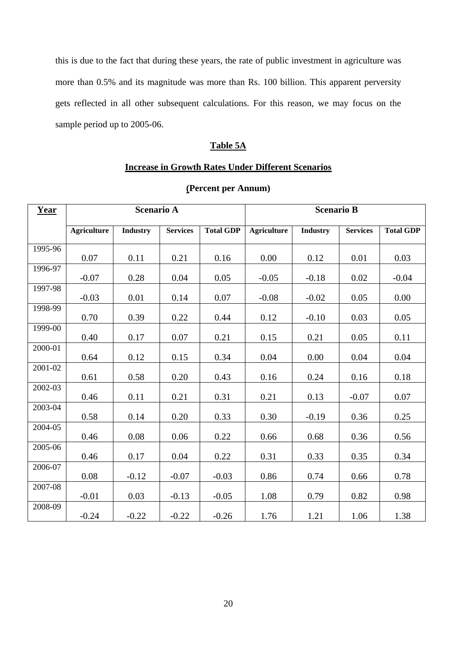this is due to the fact that during these years, the rate of public investment in agriculture was more than 0.5% and its magnitude was more than Rs. 100 billion. This apparent perversity gets reflected in all other subsequent calculations. For this reason, we may focus on the sample period up to 2005-06.

## **Table 5A**

## **Increase in Growth Rates Under Different Scenarios**

| Year    | <b>Scenario A</b>  |                 |                 | <b>Scenario B</b> |                    |                 |                 |                  |
|---------|--------------------|-----------------|-----------------|-------------------|--------------------|-----------------|-----------------|------------------|
|         | <b>Agriculture</b> | <b>Industry</b> | <b>Services</b> | <b>Total GDP</b>  | <b>Agriculture</b> | <b>Industry</b> | <b>Services</b> | <b>Total GDP</b> |
| 1995-96 |                    |                 |                 |                   |                    |                 |                 |                  |
| 1996-97 | $0.07\,$           | 0.11            | 0.21            | 0.16              | 0.00               | 0.12            | 0.01            | 0.03             |
|         | $-0.07$            | 0.28            | 0.04            | 0.05              | $-0.05$            | $-0.18$         | 0.02            | $-0.04$          |
| 1997-98 | $-0.03$            | 0.01            | 0.14            | 0.07              | $-0.08$            | $-0.02$         | 0.05            | 0.00             |
| 1998-99 | 0.70               | 0.39            | 0.22            | 0.44              | 0.12               | $-0.10$         | 0.03            | 0.05             |
| 1999-00 | 0.40               | 0.17            | $0.07\,$        | 0.21              | $0.15\,$           | 0.21            | 0.05            | 0.11             |
| 2000-01 |                    |                 |                 |                   |                    |                 |                 |                  |
|         | 0.64               | 0.12            | 0.15            | 0.34              | 0.04               | 0.00            | 0.04            | 0.04             |
| 2001-02 | 0.61               | 0.58            | 0.20            | 0.43              | 0.16               | 0.24            | 0.16            | 0.18             |
| 2002-03 | 0.46               | 0.11            | 0.21            | 0.31              | 0.21               | 0.13            | $-0.07$         | $0.07\,$         |
| 2003-04 | 0.58               | 0.14            | 0.20            | 0.33              | 0.30               | $-0.19$         | 0.36            | 0.25             |
| 2004-05 | 0.46               | 0.08            | 0.06            | 0.22              | 0.66               | 0.68            | 0.36            | 0.56             |
| 2005-06 | 0.46               | 0.17            | 0.04            | 0.22              | 0.31               | 0.33            | 0.35            | 0.34             |
| 2006-07 | 0.08               | $-0.12$         | $-0.07$         | $-0.03$           | 0.86               | 0.74            | 0.66            | 0.78             |
| 2007-08 | $-0.01$            | 0.03            | $-0.13$         | $-0.05$           | 1.08               | 0.79            | 0.82            | 0.98             |
| 2008-09 | $-0.24$            | $-0.22$         | $-0.22$         | $-0.26$           | 1.76               | 1.21            | 1.06            | 1.38             |

## **(Percent per Annum)**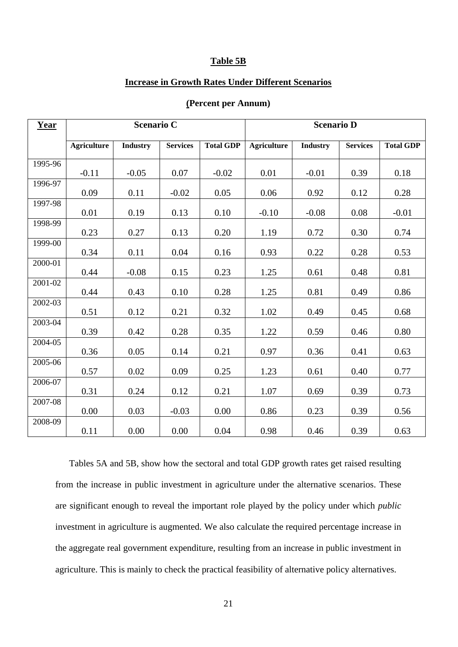#### **Table 5B**

### **Increase in Growth Rates Under Different Scenarios**

| Year    | <b>Scenario C</b>  |                 |                 |                  | <b>Scenario D</b>  |                 |                 |                  |
|---------|--------------------|-----------------|-----------------|------------------|--------------------|-----------------|-----------------|------------------|
|         | <b>Agriculture</b> | <b>Industry</b> | <b>Services</b> | <b>Total GDP</b> | <b>Agriculture</b> | <b>Industry</b> | <b>Services</b> | <b>Total GDP</b> |
| 1995-96 | $-0.11$            | $-0.05$         | 0.07            | $-0.02$          | 0.01               | $-0.01$         | 0.39            | 0.18             |
| 1996-97 | 0.09               | 0.11            | $-0.02$         | 0.05             | 0.06               | 0.92            | 0.12            | 0.28             |
| 1997-98 | 0.01               | 0.19            | 0.13            | 0.10             | $-0.10$            | $-0.08$         | 0.08            | $-0.01$          |
| 1998-99 | 0.23               | 0.27            | 0.13            | 0.20             | 1.19               | 0.72            | 0.30            | 0.74             |
| 1999-00 | 0.34               | 0.11            | 0.04            | 0.16             | 0.93               | 0.22            | 0.28            | 0.53             |
| 2000-01 | 0.44               | $-0.08$         | 0.15            | 0.23             | 1.25               | 0.61            | 0.48            | 0.81             |
| 2001-02 | 0.44               | 0.43            | 0.10            | 0.28             | 1.25               | 0.81            | 0.49            | 0.86             |
| 2002-03 | 0.51               | 0.12            | 0.21            | 0.32             | 1.02               | 0.49            | 0.45            | 0.68             |
| 2003-04 | 0.39               | 0.42            | 0.28            | 0.35             | 1.22               | 0.59            | 0.46            | 0.80             |
| 2004-05 | 0.36               | 0.05            | 0.14            | 0.21             | 0.97               | 0.36            | 0.41            | 0.63             |
| 2005-06 | 0.57               | 0.02            | 0.09            | 0.25             | 1.23               | 0.61            | 0.40            | 0.77             |
| 2006-07 | 0.31               | 0.24            | 0.12            | 0.21             | 1.07               | 0.69            | 0.39            | 0.73             |
| 2007-08 | 0.00               | 0.03            | $-0.03$         | 0.00             | 0.86               | 0.23            | 0.39            | 0.56             |
| 2008-09 | 0.11               | 0.00            | 0.00            | 0.04             | 0.98               | 0.46            | 0.39            | 0.63             |

### **(Percent per Annum)**

Tables 5A and 5B, show how the sectoral and total GDP growth rates get raised resulting from the increase in public investment in agriculture under the alternative scenarios. These are significant enough to reveal the important role played by the policy under which *public* investment in agriculture is augmented. We also calculate the required percentage increase in the aggregate real government expenditure, resulting from an increase in public investment in agriculture. This is mainly to check the practical feasibility of alternative policy alternatives.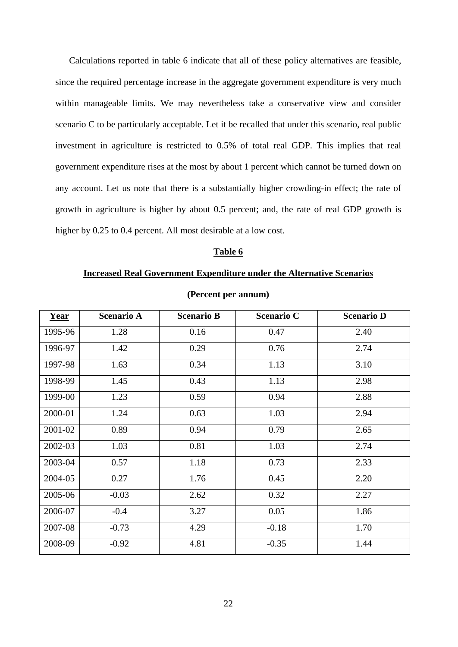Calculations reported in table 6 indicate that all of these policy alternatives are feasible, since the required percentage increase in the aggregate government expenditure is very much within manageable limits. We may nevertheless take a conservative view and consider scenario C to be particularly acceptable. Let it be recalled that under this scenario, real public investment in agriculture is restricted to 0.5% of total real GDP. This implies that real government expenditure rises at the most by about 1 percent which cannot be turned down on any account. Let us note that there is a substantially higher crowding-in effect; the rate of growth in agriculture is higher by about 0.5 percent; and, the rate of real GDP growth is higher by 0.25 to 0.4 percent. All most desirable at a low cost.

### **Table 6**

#### **Increased Real Government Expenditure under the Alternative Scenarios**

| Year    | <b>Scenario A</b> | <b>Scenario B</b> | <b>Scenario C</b> | <b>Scenario D</b> |
|---------|-------------------|-------------------|-------------------|-------------------|
| 1995-96 | 1.28              | 0.16              | 0.47              | 2.40              |
| 1996-97 | 1.42              | 0.29              | 0.76              | 2.74              |
| 1997-98 | 1.63              | 0.34              | 1.13              | 3.10              |
| 1998-99 | 1.45              | 0.43              | 1.13              | 2.98              |
| 1999-00 | 1.23              | 0.59              | 0.94              | 2.88              |
| 2000-01 | 1.24              | 0.63              | 1.03              | 2.94              |
| 2001-02 | 0.89              | 0.94              | 0.79              | 2.65              |
| 2002-03 | 1.03              | 0.81              | 1.03              | 2.74              |
| 2003-04 | 0.57              | 1.18              | 0.73              | 2.33              |
| 2004-05 | 0.27              | 1.76              | 0.45              | 2.20              |
| 2005-06 | $-0.03$           | 2.62              | 0.32              | 2.27              |
| 2006-07 | $-0.4$            | 3.27              | 0.05              | 1.86              |
| 2007-08 | $-0.73$           | 4.29              | $-0.18$           | 1.70              |
| 2008-09 | $-0.92$           | 4.81              | $-0.35$           | 1.44              |

**(Percent per annum)**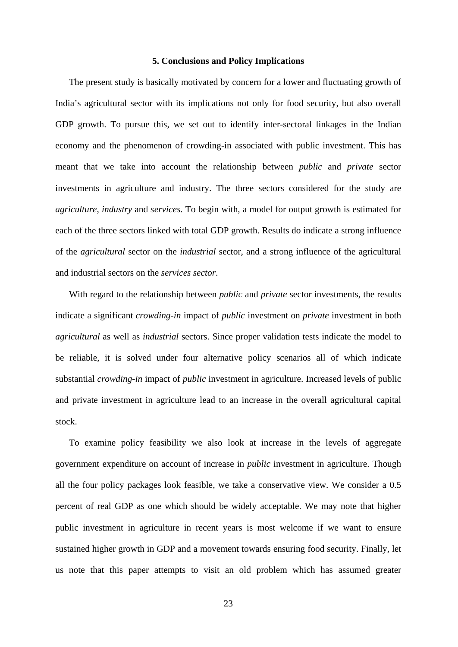#### **5. Conclusions and Policy Implications**

The present study is basically motivated by concern for a lower and fluctuating growth of India's agricultural sector with its implications not only for food security, but also overall GDP growth. To pursue this, we set out to identify inter-sectoral linkages in the Indian economy and the phenomenon of crowding-in associated with public investment. This has meant that we take into account the relationship between *public* and *private* sector investments in agriculture and industry. The three sectors considered for the study are *agriculture*, *industry* and *services*. To begin with, a model for output growth is estimated for each of the three sectors linked with total GDP growth. Results do indicate a strong influence of the *agricultural* sector on the *industrial* sector, and a strong influence of the agricultural and industrial sectors on the *services sector*.

With regard to the relationship between *public* and *private* sector investments, the results indicate a significant *crowding-in* impact of *public* investment on *private* investment in both *agricultural* as well as *industrial* sectors. Since proper validation tests indicate the model to be reliable, it is solved under four alternative policy scenarios all of which indicate substantial *crowding-in* impact of *public* investment in agriculture. Increased levels of public and private investment in agriculture lead to an increase in the overall agricultural capital stock.

To examine policy feasibility we also look at increase in the levels of aggregate government expenditure on account of increase in *public* investment in agriculture. Though all the four policy packages look feasible, we take a conservative view. We consider a 0.5 percent of real GDP as one which should be widely acceptable. We may note that higher public investment in agriculture in recent years is most welcome if we want to ensure sustained higher growth in GDP and a movement towards ensuring food security. Finally, let us note that this paper attempts to visit an old problem which has assumed greater

23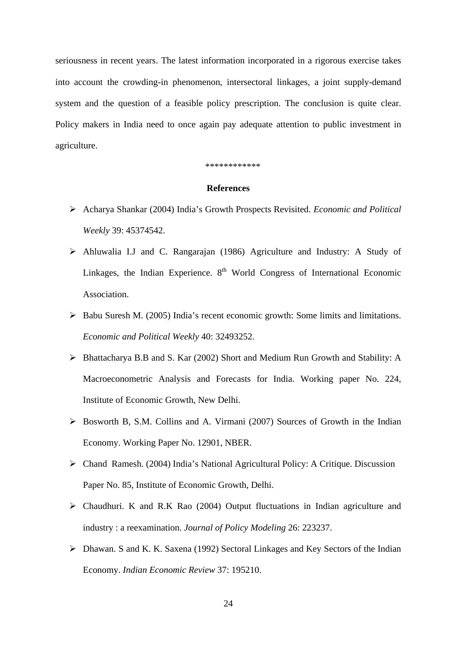seriousness in recent years. The latest information incorporated in a rigorous exercise takes into account the crowding-in phenomenon, intersectoral linkages, a joint supply-demand system and the question of a feasible policy prescription. The conclusion is quite clear. Policy makers in India need to once again pay adequate attention to public investment in agriculture.

#### \*\*\*\*\*\*\*\*\*\*\*\*

#### **References**

- Acharya Shankar (2004) India's Growth Prospects Revisited. *Economic and Political Weekly* 39: 45374542.
- Ahluwalia I.J and C. Rangarajan (1986) Agriculture and Industry: A Study of Linkages, the Indian Experience.  $8<sup>th</sup>$  World Congress of International Economic Association.
- $\triangleright$  Babu Suresh M. (2005) India's recent economic growth: Some limits and limitations. *Economic and Political Weekly* 40: 32493252.
- $\triangleright$  Bhattacharya B.B and S. Kar (2002) Short and Medium Run Growth and Stability: A Macroeconometric Analysis and Forecasts for India. Working paper No. 224, Institute of Economic Growth, New Delhi.
- $\triangleright$  Bosworth B, S.M. Collins and A. Virmani (2007) Sources of Growth in the Indian Economy. Working Paper No. 12901, NBER.
- Chand Ramesh. (2004) India's National Agricultural Policy: A Critique. Discussion Paper No. 85, Institute of Economic Growth, Delhi.
- Chaudhuri. K and R.K Rao (2004) Output fluctuations in Indian agriculture and industry : a reexamination. *Journal of Policy Modeling* 26: 223237.
- Dhawan. S and K. K. Saxena (1992) Sectoral Linkages and Key Sectors of the Indian Economy. *Indian Economic Review* 37: 195210.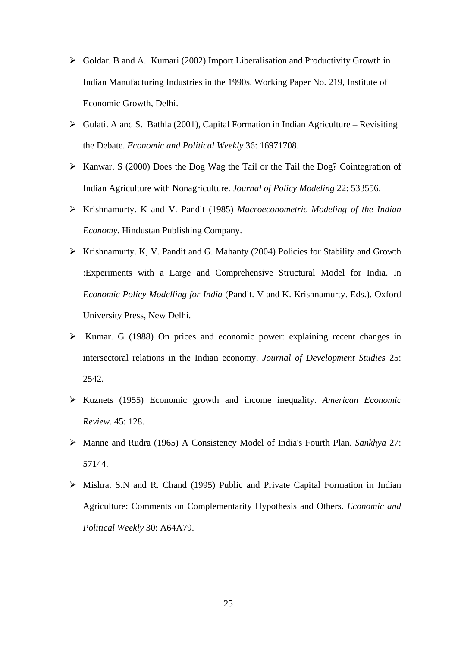- $\triangleright$  Goldar. B and A. Kumari (2002) Import Liberalisation and Productivity Growth in Indian Manufacturing Industries in the 1990s. Working Paper No. 219, Institute of Economic Growth, Delhi.
- $\triangleright$  Gulati. A and S. Bathla (2001), Capital Formation in Indian Agriculture Revisiting the Debate. *Economic and Political Weekly* 36: 16971708.
- $\triangleright$  Kanwar. S (2000) Does the Dog Wag the Tail or the Tail the Dog? Cointegration of Indian Agriculture with Nonagriculture. *Journal of Policy Modeling* 22: 533556.
- Krishnamurty. K and V. Pandit (1985) *Macroeconometric Modeling of the Indian Economy.* Hindustan Publishing Company.
- $\triangleright$  Krishnamurty. K, V. Pandit and G. Mahanty (2004) Policies for Stability and Growth :Experiments with a Large and Comprehensive Structural Model for India. In *Economic Policy Modelling for India* (Pandit. V and K. Krishnamurty. Eds.). Oxford University Press, New Delhi.
- $\triangleright$  Kumar. G (1988) On prices and economic power: explaining recent changes in intersectoral relations in the Indian economy. *Journal of Development Studies* 25: 2542.
- Kuznets (1955) Economic growth and income inequality. *American Economic Review*. 45: 128.
- Manne and Rudra (1965) A Consistency Model of India's Fourth Plan. *Sankhya* 27: 57144.
- $\triangleright$  Mishra. S.N and R. Chand (1995) Public and Private Capital Formation in Indian Agriculture: Comments on Complementarity Hypothesis and Others. *Economic and Political Weekly* 30: A64A79.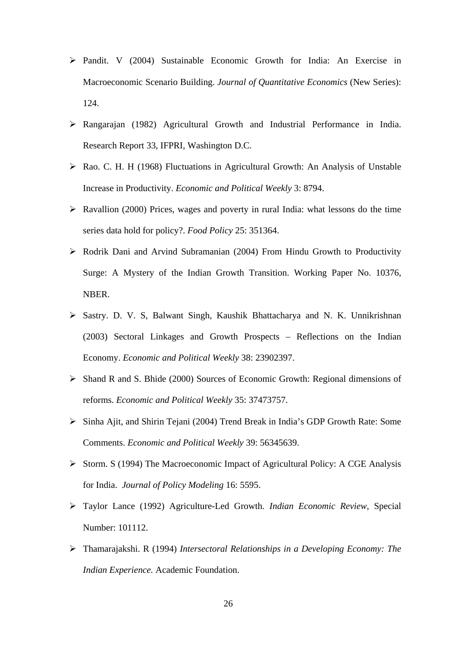- Pandit. V (2004) Sustainable Economic Growth for India: An Exercise in Macroeconomic Scenario Building. *Journal of Quantitative Economics* (New Series): 124.
- Rangarajan (1982) Agricultural Growth and Industrial Performance in India. Research Report 33, IFPRI, Washington D.C.
- Rao. C. H. H (1968) Fluctuations in Agricultural Growth: An Analysis of Unstable Increase in Productivity. *Economic and Political Weekly* 3: 8794.
- $\triangleright$  Ravallion (2000) Prices, wages and poverty in rural India: what lessons do the time series data hold for policy?. *Food Policy* 25: 351364.
- Rodrik Dani and Arvind Subramanian (2004) From Hindu Growth to Productivity Surge: A Mystery of the Indian Growth Transition. Working Paper No. 10376, NBER.
- Sastry. D. V. S, Balwant Singh, Kaushik Bhattacharya and N. K. Unnikrishnan (2003) Sectoral Linkages and Growth Prospects – Reflections on the Indian Economy. *Economic and Political Weekly* 38: 23902397.
- Shand R and S. Bhide (2000) Sources of Economic Growth: Regional dimensions of reforms. *Economic and Political Weekly* 35: 37473757.
- Sinha Ajit, and Shirin Tejani (2004) Trend Break in India's GDP Growth Rate: Some Comments. *Economic and Political Weekly* 39: 56345639.
- $\triangleright$  Storm. S (1994) The Macroeconomic Impact of Agricultural Policy: A CGE Analysis for India. *Journal of Policy Modeling* 16: 5595.
- Taylor Lance (1992) Agriculture-Led Growth. *Indian Economic Review*, Special Number: 101112.
- Thamarajakshi. R (1994) *Intersectoral Relationships in a Developing Economy: The Indian Experience.* Academic Foundation.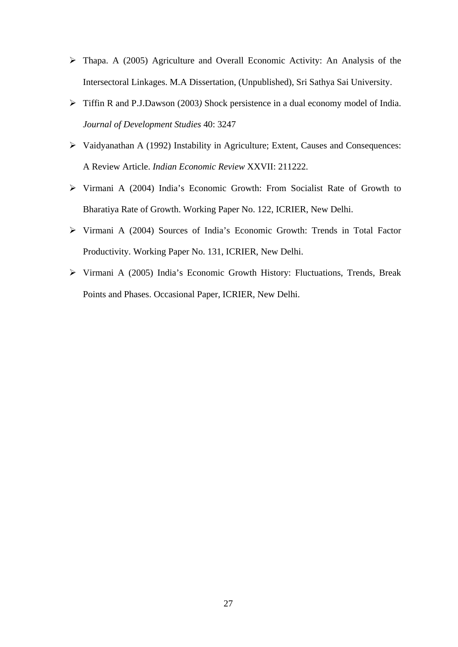- Thapa. A (2005) Agriculture and Overall Economic Activity: An Analysis of the Intersectoral Linkages. M.A Dissertation, (Unpublished), Sri Sathya Sai University.
- Tiffin R and P.J.Dawson (2003*)* Shock persistence in a dual economy model of India. *Journal of Development Studies* 40: 3247
- Vaidyanathan A (1992) Instability in Agriculture; Extent, Causes and Consequences: A Review Article. *Indian Economic Review* XXVII: 211222.
- Virmani A (2004) India's Economic Growth: From Socialist Rate of Growth to Bharatiya Rate of Growth. Working Paper No. 122, ICRIER, New Delhi.
- Virmani A (2004) Sources of India's Economic Growth: Trends in Total Factor Productivity. Working Paper No. 131, ICRIER, New Delhi.
- Virmani A (2005) India's Economic Growth History: Fluctuations, Trends, Break Points and Phases. Occasional Paper, ICRIER, New Delhi.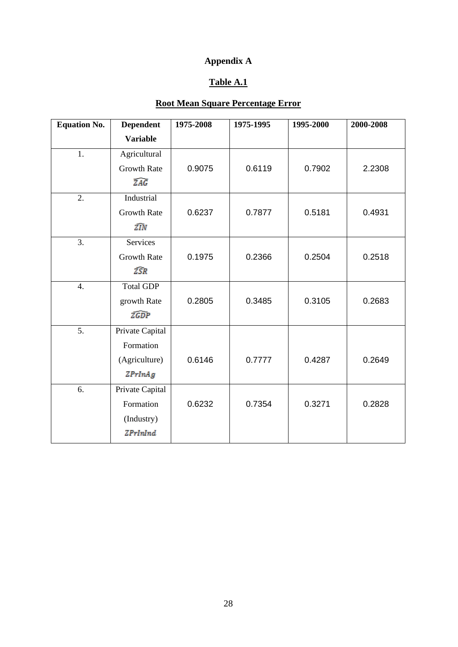# **Appendix A**

## **Table A.1**

## **Root Mean Square Percentage Error**

| <b>Equation No.</b> | <b>Dependent</b>   | 1975-2008 | 1975-1995 | 1995-2000 | 2000-2008 |
|---------------------|--------------------|-----------|-----------|-----------|-----------|
|                     | <b>Variable</b>    |           |           |           |           |
| 1.                  | Agricultural       |           |           |           |           |
|                     | <b>Growth Rate</b> | 0.9075    | 0.6119    | 0.7902    | 2.2308    |
|                     | <b>ZAG</b>         |           |           |           |           |
| 2.                  | Industrial         |           |           |           |           |
|                     | <b>Growth Rate</b> | 0.6237    | 0.7877    | 0.5181    | 0.4931    |
|                     | źīN                |           |           |           |           |
| 3.                  | <b>Services</b>    |           |           |           |           |
|                     | <b>Growth Rate</b> | 0.1975    | 0.2366    | 0.2504    | 0.2518    |
|                     | ZŜR                |           |           |           |           |
| $\overline{4}$ .    | <b>Total GDP</b>   |           |           |           |           |
|                     | growth Rate        | 0.2805    | 0.3485    | 0.3105    | 0.2683    |
|                     | ZGDP               |           |           |           |           |
| 5.                  | Private Capital    |           |           |           |           |
|                     | Formation          |           |           |           |           |
|                     | (Agriculture)      | 0.6146    | 0.7777    | 0.4287    | 0.2649    |
|                     | <b>ZPrInAg</b>     |           |           |           |           |
| 6.                  | Private Capital    |           |           |           |           |
|                     | Formation          | 0.6232    | 0.7354    | 0.3271    | 0.2828    |
|                     | (Industry)         |           |           |           |           |
|                     | <b>ZPrInInd</b>    |           |           |           |           |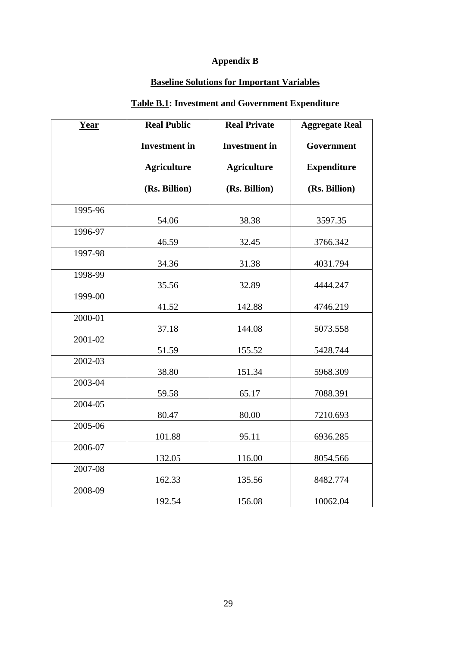# **Appendix B**

## **Baseline Solutions for Important Variables**

# **Table B.1: Investment and Government Expenditure**

| Year    | <b>Real Public</b>   | <b>Real Private</b>  | <b>Aggregate Real</b> |
|---------|----------------------|----------------------|-----------------------|
|         | <b>Investment</b> in | <b>Investment</b> in | Government            |
|         | <b>Agriculture</b>   | <b>Agriculture</b>   | <b>Expenditure</b>    |
|         | (Rs. Billion)        | (Rs. Billion)        | (Rs. Billion)         |
| 1995-96 | 54.06                | 38.38                | 3597.35               |
| 1996-97 | 46.59                | 32.45                | 3766.342              |
| 1997-98 | 34.36                | 31.38                | 4031.794              |
| 1998-99 | 35.56                | 32.89                | 4444.247              |
| 1999-00 | 41.52                | 142.88               | 4746.219              |
| 2000-01 | 37.18                | 144.08               | 5073.558              |
| 2001-02 | 51.59                | 155.52               | 5428.744              |
| 2002-03 | 38.80                | 151.34               | 5968.309              |
| 2003-04 | 59.58                | 65.17                | 7088.391              |
| 2004-05 | 80.47                | 80.00                | 7210.693              |
| 2005-06 | 101.88               | 95.11                | 6936.285              |
| 2006-07 | 132.05               | 116.00               | 8054.566              |
| 2007-08 | 162.33               | 135.56               | 8482.774              |
| 2008-09 | 192.54               | 156.08               | 10062.04              |